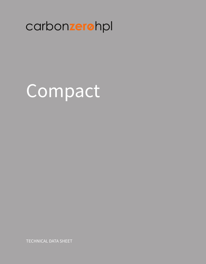# carbonzerohpl

# Compact

**TECHNICAL DATA SHEET**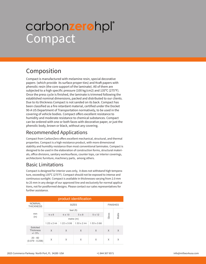# **Compact** carbon**zero**hpl®

### Composition

Compact is manufactured with melamine resin, special decorative papers (which provide its surface proper-ties) and Kraft papers with phenolic resin (the core support of the laminate). All of them are subjected to a high specific pressure (100 kg/cm2) and 135ºC (275°F). Once the press cycle is finished, the laminate is trimmed following the established nominal dimensions, packed and distributed to our clients. Due to its thickness Compact is not sanded on its back. Compact has been classified as a fire retardant material, certified under the Docket 90-A US Department of Transportation normatively, to be used in the covering of vehicle bodies. Compact offers excellent resistance to humidity and moderate resistance to chemical substances. Compact can be ordered with one or both faces with decorative paper, or just the phenolic body, brown or black, without any covering.

#### Recommended Applications

Compact from CarbonZero offers excellent mechanical, structural, and thermal properties. Compact is a high resistance product, with more dimensional stability and humidity resistance than most conventional laminates. Compact is designed to be used in the elaboration of construction forms, structural materials, office divisions, sanitary worksurfaces, counter tops, car interior coverings, architectonic furniture, machinery parts, among others.

#### Basic Limitations

Compact is designed for interior uses only, it does not withstand high temperature, exceeding 135ºC (275°F). Compact should not be exposed to intense and continuous sunlight. Compact is available in thicknesses varying from 2.0 mm to 25 mm in any design of our approved line and exclusively for normal applications, not for postformed designs. Please contact our sales representatives for further assistance.

| product identification                    |                    |                    |              |                    |       |       |  |  |  |
|-------------------------------------------|--------------------|--------------------|--------------|--------------------|-------|-------|--|--|--|
| <b>NOMINAL</b><br><b>THICKNESS</b>        |                    | <b>FINISHES</b>    |              |                    |       |       |  |  |  |
|                                           |                    |                    | feet (ft)    |                    |       | Matte |  |  |  |
| mm<br>(in)                                | $4 \times 8$       | $4 \times 10$      | $5 \times 8$ | 5 x 12             | Gloss |       |  |  |  |
|                                           |                    |                    |              |                    |       |       |  |  |  |
|                                           | $1.22 \times 2.44$ | $1.22 \times 3.06$ | 1.53 x 2.44  | $1.53 \times 3.66$ |       |       |  |  |  |
| Solicited<br><b>Thickness</b><br>$+/- 5%$ | X                  | X                  | X            | X                  | X     | X     |  |  |  |
| $20 - 60$<br>$(0.079 - 0.236)$            | Χ                  | X                  | X            | Χ                  | X     | X     |  |  |  |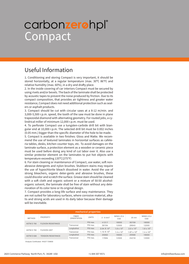# **Compact** carbon**zero**hpl®

### Useful Information

1. Conditioning and storing Compact is very important, it should be stored horizontally, at a regular temperature (max. 30ºC 86°F) and relative humidity (max. 60%), in a dry and drafty place.

2. In the inside covering of car interiors Compact must be secured by using rivets and/or bevels. The back of the laminate shall be protected by acoustic tapes to prevent the noise produced by friction. Due to its compact composition, that provides air tightness and greater water resistance, Compact does not need additional protection such as sealers or asphalt products.

3. Compact should be cut with circular saws at a 8-12 m/min. and 3,000-5,500 r.p.m. speed, the tooth of the saw must be done in plane trapezoidal diamond with alternating geometry. For routed jobs, a cylindrical miller of minimum 12,000 r.p.m. must be used.

4. To perforate Compact use a tungsten-carbide drill bit with biangular end at 10,000 r.p.m. The selected drill bit must be 0.002 inches (0.05 mm.) bigger than the specific diameter of the hole to be made.

5. Compact is available in two finishes: Gloss and Matte. We recommend the use of textured laminates in horizontal surfaces as cafeteria tables, desks, kitchen counter tops, etc. To avoid damages on the laminate surface, a protection element as a wooden or ceramic piece must be used before doing any kind of cut labor over it. Also use a similar protector element on the laminates to put hot objects with temperature exceeding 135ºC(275°F)

6. For stain cleaning or maintenance of Compact, use water, soft nonabrasive detergents and nylon brushes. Stubborn stains may require the use of hypochlorite bleach dissolved in water. Avoid the use of strong bleachers, organic deter-gents and abrasive brushes, these could discolor and scratch the surface. Grease stain should be cleaned with a soft cloth and organic solvent or a mixture of 50:50 alcoholorganic solvent, the laminate shall be free of stain without any deterioration of its color tone or its original design.

7. Compact provides a long-life surface and easy maintenance. They are not suited for laboratory surfaces, where corrosive material, alkalis and strong acids are used in its daily labor because their damage will be inevitable.

| mechanical properties |                                   |                                    |              |                    |                     |                      |                     |  |
|-----------------------|-----------------------------------|------------------------------------|--------------|--------------------|---------------------|----------------------|---------------------|--|
| <b>METHOD</b>         | <b>PROPERTY</b>                   | <b>FIBER</b><br><b>ORIENTATION</b> | <b>UNITS</b> | $2 - 6$ mm $7$     | NEMA LD.3<br>CGS    | 25 mm                | NEMA LD.3<br>CGS    |  |
| ASTM D 790            | <b>FLEXION RESISTANCE</b>         |                                    | PSI max.     | 41317              | 18000               | 30759                | 18000               |  |
|                       |                                   | Transversal                        | PSI max.     | 39194              | 12000               | 28945                | 12000               |  |
|                       | <b>FLEXION UNIT</b><br>ASTM D 790 | Longitudinal                       | PSI max.     | $2.04 \times 10^6$ | $1.6 \times 10^{6}$ | $2.0 \times 10^{6}$  | $1.6 \times 10^{6}$ |  |
|                       |                                   | Transversal                        | PSI max.     | $1.72 \times 10^6$ | $1.4 \times 10^{6}$ | $1.87 \times 10^{6}$ | $1.4 \times 10^{6}$ |  |
| ASTM D 638            | <b>TENSION RESISTANCE</b>         | Longitudinal                       | PSI max.     | 20062              | 18000               | 25598                | 18000               |  |
|                       |                                   | Transversal                        | PSI max.     | 17084              | 12000               | 24216                | 12000               |  |

Analysis Certificated #4227-729830